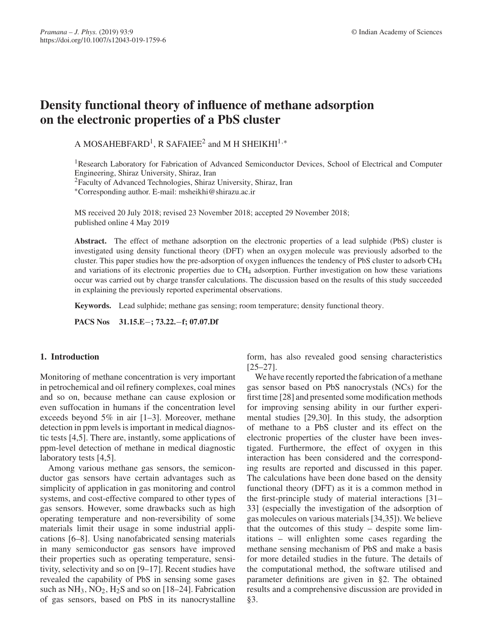# **Density functional theory of influence of methane adsorption on the electronic properties of a PbS cluster**

A MOSAHEBFARD<sup>1</sup>, R SAFAIEE<sup>2</sup> and M H SHEIKHI<sup>1,\*</sup>

<sup>1</sup>Research Laboratory for Fabrication of Advanced Semiconductor Devices, School of Electrical and Computer Engineering, Shiraz University, Shiraz, Iran

2Faculty of Advanced Technologies, Shiraz University, Shiraz, Iran

∗Corresponding author. E-mail: msheikhi@shirazu.ac.ir

MS received 20 July 2018; revised 23 November 2018; accepted 29 November 2018; published online 4 May 2019

**Abstract.** The effect of methane adsorption on the electronic properties of a lead sulphide (PbS) cluster is investigated using density functional theory (DFT) when an oxygen molecule was previously adsorbed to the cluster. This paper studies how the pre-adsorption of oxygen influences the tendency of PbS cluster to adsorb  $CH<sub>4</sub>$ and variations of its electronic properties due to CH<sub>4</sub> adsorption. Further investigation on how these variations occur was carried out by charge transfer calculations. The discussion based on the results of this study succeeded in explaining the previously reported experimental observations.

**Keywords.** Lead sulphide; methane gas sensing; room temperature; density functional theory.

**PACS Nos 31.15.E**−**; 73.22.**−**f; 07.07.Df**

## **1. Introduction**

Monitoring of methane concentration is very important in petrochemical and oil refinery complexes, coal mines and so on, because methane can cause explosion or even suffocation in humans if the concentration level exceeds beyond 5% in air [1–3]. Moreover, methane detection in ppm levels is important in medical diagnostic tests [4,5]. There are, instantly, some applications of ppm-level detection of methane in medical diagnostic laboratory tests [4,5].

Among various methane gas sensors, the semiconductor gas sensors have certain advantages such as simplicity of application in gas monitoring and control systems, and cost-effective compared to other types of gas sensors. However, some drawbacks such as high operating temperature and non-reversibility of some materials limit their usage in some industrial applications [6–8]. Using nanofabricated sensing materials in many semiconductor gas sensors have improved their properties such as operating temperature, sensitivity, selectivity and so on [9–17]. Recent studies have revealed the capability of PbS in sensing some gases such as  $NH_3$ ,  $NO_2$ ,  $H_2S$  and so on [18–24]. Fabrication of gas sensors, based on PbS in its nanocrystalline form, has also revealed good sensing characteristics [25–27].

We have recently reported the fabrication of a methane gas sensor based on PbS nanocrystals (NCs) for the first time [28] and presented some modification methods for improving sensing ability in our further experimental studies [29,30]. In this study, the adsorption of methane to a PbS cluster and its effect on the electronic properties of the cluster have been investigated. Furthermore, the effect of oxygen in this interaction has been considered and the corresponding results are reported and discussed in this paper. The calculations have been done based on the density functional theory (DFT) as it is a common method in the first-principle study of material interactions [31– 33] (especially the investigation of the adsorption of gas molecules on various materials [34,35]). We believe that the outcomes of this study – despite some limitations – will enlighten some cases regarding the methane sensing mechanism of PbS and make a basis for more detailed studies in the future. The details of the computational method, the software utilised and parameter definitions are given in §2. The obtained results and a comprehensive discussion are provided in §3.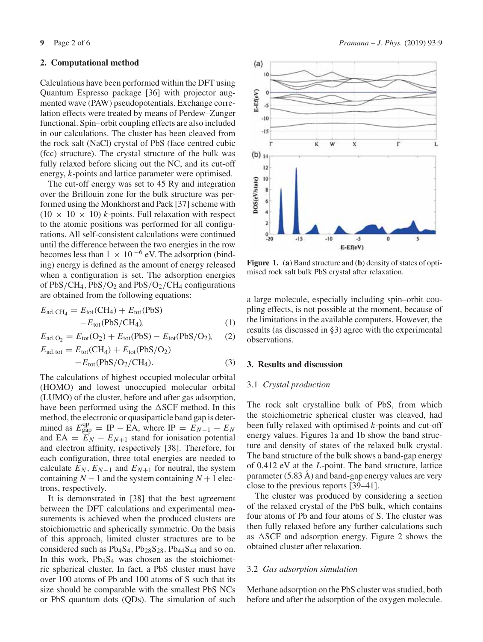#### **2. Computational method**

Calculations have been performed within the DFT using Quantum Espresso package [36] with projector augmented wave (PAW) pseudopotentials. Exchange correlation effects were treated by means of Perdew–Zunger functional. Spin–orbit coupling effects are also included in our calculations. The cluster has been cleaved from the rock salt (NaCl) crystal of PbS (face centred cubic (fcc) structure). The crystal structure of the bulk was fully relaxed before slicing out the NC, and its cut-off energy, *k*-points and lattice parameter were optimised.

The cut-off energy was set to 45 Ry and integration over the Brillouin zone for the bulk structure was performed using the Monkhorst and Pack [37] scheme with  $(10 \times 10 \times 10)$  *k*-points. Full relaxation with respect to the atomic positions was performed for all configurations. All self-consistent calculations were continued until the difference between the two energies in the row becomes less than  $1 \times 10^{-6}$  eV. The adsorption (binding) energy is defined as the amount of energy released when a configuration is set. The adsorption energies of  $PbS/CH_4$ ,  $PbS/O_2$  and  $PbS/O_2/CH_4$  configurations are obtained from the following equations:

$$
E_{\text{ad,CH}_4} = E_{\text{tot}}(CH_4) + E_{\text{tot}}(PbS)
$$

$$
-E_{\text{tot}}(PbS/CH_4), \tag{1}
$$

$$
E_{\text{ad},O_2} = E_{\text{tot}}(O_2) + E_{\text{tot}}(\text{PbS}) - E_{\text{tot}}(\text{PbS}/O_2), \quad (2)
$$

$$
E_{\text{ad,tot}} = E_{\text{tot}}(CH_4) + E_{\text{tot}}(PbS/O_2)
$$
  
-
$$
-E_{\text{tot}}(PbS/O_2/CH_4).
$$
 (3)

The calculations of highest occupied molecular orbital (HOMO) and lowest unoccupied molecular orbital (LUMO) of the cluster, before and after gas adsorption, have been performed using the  $\Delta$ SCF method. In this method, the electronic or quasiparticle band gap is determined as  $E_{\text{gap}}^{\text{qp}} = \text{IP} - \text{EA}$ , where  $\text{IP} = E_{N-1} - E_N$ and EA =  $E_N - E_{N+1}$  stand for ionisation potential and electron affinity, respectively [38]. Therefore, for each configuration, three total energies are needed to calculate  $E_N$ ,  $E_{N-1}$  and  $E_{N+1}$  for neutral, the system containing  $N - 1$  and the system containing  $N + 1$  electrons, respectively.

It is demonstrated in [38] that the best agreement between the DFT calculations and experimental measurements is achieved when the produced clusters are stoichiometric and spherically symmetric. On the basis of this approach, limited cluster structures are to be considered such as  $Pb_4S_4$ ,  $Pb_{28}S_{28}$ ,  $Pb_{44}S_{44}$  and so on. In this work,  $Pb_4S_4$  was chosen as the stoichiometric spherical cluster. In fact, a PbS cluster must have over 100 atoms of Pb and 100 atoms of S such that its size should be comparable with the smallest PbS NCs or PbS quantum dots (QDs). The simulation of such





**Figure 1.** (**a**) Band structure and (**b**) density of states of optimised rock salt bulk PbS crystal after relaxation.

a large molecule, especially including spin–orbit coupling effects, is not possible at the moment, because of the limitations in the available computers. However, the results (as discussed in §3) agree with the experimental observations.

## **3. Results and discussion**

### 3.1 *Crystal production*

The rock salt crystalline bulk of PbS, from which the stoichiometric spherical cluster was cleaved, had been fully relaxed with optimised *k*-points and cut-off energy values. Figures 1a and 1b show the band structure and density of states of the relaxed bulk crystal. The band structure of the bulk shows a band-gap energy of 0.412 eV at the *L*-point. The band structure, lattice parameter (5.83 Å) and band-gap energy values are very close to the previous reports [39–41].

The cluster was produced by considering a section of the relaxed crystal of the PbS bulk, which contains four atoms of Pb and four atoms of S. The cluster was then fully relaxed before any further calculations such as  $\triangle$ SCF and adsorption energy. Figure 2 shows the obtained cluster after relaxation.

#### 3.2 *Gas adsorption simulation*

Methane adsorption on the PbS cluster was studied, both before and after the adsorption of the oxygen molecule.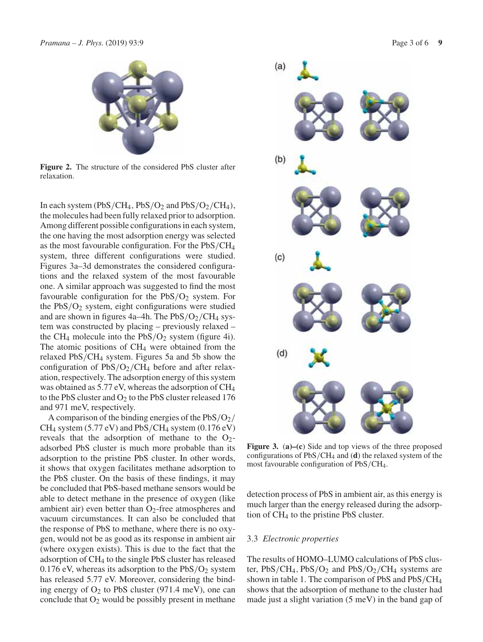

**Figure 2.** The structure of the considered PbS cluster after relaxation.

In each system (PbS/CH<sub>4</sub>, PbS/O<sub>2</sub> and PbS/O<sub>2</sub>/CH<sub>4</sub>), the molecules had been fully relaxed prior to adsorption. Among different possible configurations in each system, the one having the most adsorption energy was selected as the most favourable configuration. For the PbS/CH4 system, three different configurations were studied. Figures 3a–3d demonstrates the considered configurations and the relaxed system of the most favourable one. A similar approach was suggested to find the most favourable configuration for the  $PbS/O<sub>2</sub>$  system. For the  $PbS/O<sub>2</sub>$  system, eight configurations were studied and are shown in figures  $4a-4h$ . The  $PbS/O<sub>2</sub>/CH<sub>4</sub>$  system was constructed by placing – previously relaxed – the CH<sub>4</sub> molecule into the  $PbS/O<sub>2</sub>$  system (figure 4i). The atomic positions of CH<sub>4</sub> were obtained from the relaxed  $PbS/CH_4$  system. Figures 5a and 5b show the configuration of  $PbS/O<sub>2</sub>/CH<sub>4</sub>$  before and after relaxation, respectively. The adsorption energy of this system was obtained as 5.77 eV, whereas the adsorption of CH4 to the PbS cluster and  $O_2$  to the PbS cluster released 176 and 971 meV, respectively.

A comparison of the binding energies of the  $PbS/O<sub>2</sub>/$  $CH_4$  system (5.77 eV) and PbS/CH<sub>4</sub> system (0.176 eV) reveals that the adsorption of methane to the  $O_2$ adsorbed PbS cluster is much more probable than its adsorption to the pristine PbS cluster. In other words, it shows that oxygen facilitates methane adsorption to the PbS cluster. On the basis of these findings, it may be concluded that PbS-based methane sensors would be able to detect methane in the presence of oxygen (like ambient air) even better than  $O_2$ -free atmospheres and vacuum circumstances. It can also be concluded that the response of PbS to methane, where there is no oxygen, would not be as good as its response in ambient air (where oxygen exists). This is due to the fact that the adsorption of CH4 to the single PbS cluster has released 0.176 eV, whereas its adsorption to the  $PbS/O<sub>2</sub>$  system has released 5.77 eV. Moreover, considering the binding energy of  $O_2$  to PbS cluster (971.4 meV), one can conclude that  $O_2$  would be possibly present in methane



**Figure 3.** (**a)–(c**) Side and top views of the three proposed configurations of PbS/CH4 and (**d**) the relaxed system of the most favourable configuration of PbS/CH4.

detection process of PbS in ambient air, as this energy is much larger than the energy released during the adsorption of CH4 to the pristine PbS cluster.

## 3.3 *Electronic properties*

The results of HOMO–LUMO calculations of PbS cluster,  $PbS/CH_4$ ,  $PbS/O_2$  and  $PbS/O_2/CH_4$  systems are shown in table 1. The comparison of PbS and PbS/CH4 shows that the adsorption of methane to the cluster had made just a slight variation (5 meV) in the band gap of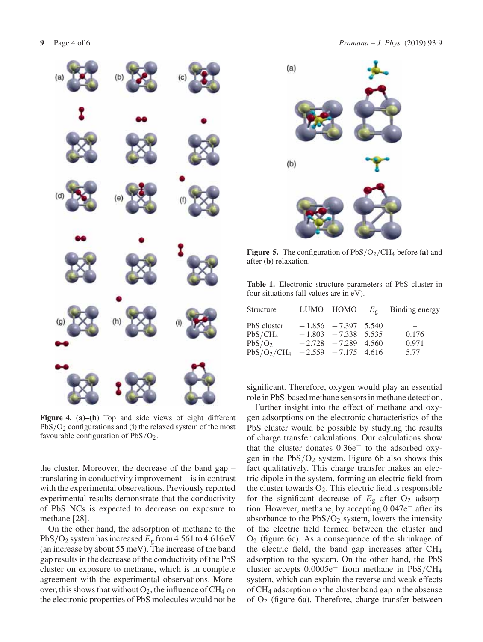

**Figure 4.** (**a)–(h**) Top and side views of eight different PbS/O2 configurations and (**i**) the relaxed system of the most favourable configuration of  $PbS/O<sub>2</sub>$ .

the cluster. Moreover, the decrease of the band gap – translating in conductivity improvement – is in contrast with the experimental observations. Previously reported experimental results demonstrate that the conductivity of PbS NCs is expected to decrease on exposure to methane [28].

On the other hand, the adsorption of methane to the PbS/O<sub>2</sub> system has increased  $E<sub>g</sub>$  from 4.561 to 4.616 eV (an increase by about 55 meV). The increase of the band gap results in the decrease of the conductivity of the PbS cluster on exposure to methane, which is in complete agreement with the experimental observations. Moreover, this shows that without  $O_2$ , the influence of CH<sub>4</sub> on the electronic properties of PbS molecules would not be



**Figure 5.** The configuration of  $PbS/O<sub>2</sub>/CH<sub>4</sub>$  before (**a**) and after (**b**) relaxation.

**Table 1.** Electronic structure parameters of PbS cluster in four situations (all values are in eV).

| Structure                                                                             | LUMO HOMO                                                                  | $E_{\sigma}$ | Binding energy         |
|---------------------------------------------------------------------------------------|----------------------------------------------------------------------------|--------------|------------------------|
| PbS cluster<br>$PbS/CH_4$<br>PbS/O <sub>2</sub><br>$PbS/O_2/CH_4$ -2.559 -7.175 4.616 | $-1.856 - 7.397$ 5.540<br>$-1.803 - 7.338$ 5.535<br>$-2.728 - 7.289$ 4.560 |              | 0.176<br>0.971<br>5.77 |

significant. Therefore, oxygen would play an essential role in PbS-based methane sensors in methane detection.

Further insight into the effect of methane and oxygen adsorptions on the electronic characteristics of the PbS cluster would be possible by studying the results of charge transfer calculations. Our calculations show that the cluster donates 0.36e− to the adsorbed oxygen in the  $PbS/O<sub>2</sub>$  system. Figure 6b also shows this fact qualitatively. This charge transfer makes an electric dipole in the system, forming an electric field from the cluster towards  $O_2$ . This electric field is responsible for the significant decrease of  $E<sub>g</sub>$  after  $O<sub>2</sub>$  adsorption. However, methane, by accepting 0.047e− after its absorbance to the  $PbS/O<sub>2</sub>$  system, lowers the intensity of the electric field formed between the cluster and  $O<sub>2</sub>$  (figure 6c). As a consequence of the shrinkage of the electric field, the band gap increases after CH4 adsorption to the system. On the other hand, the PbS cluster accepts 0.0005e<sup>−</sup> from methane in PbS/CH4 system, which can explain the reverse and weak effects of CH4 adsorption on the cluster band gap in the absense of  $O_2$  (figure 6a). Therefore, charge transfer between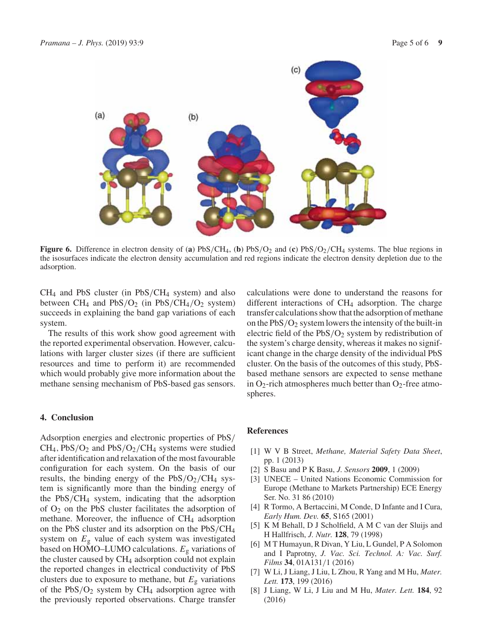

**Figure 6.** Difference in electron density of (a)  $PbS/CH_4$ , (b)  $PbS/O_2$  and (c)  $PbS/O_2/CH_4$  systems. The blue regions in the isosurfaces indicate the electron density accumulation and red regions indicate the electron density depletion due to the adsorption.

 $CH<sub>4</sub>$  and PbS cluster (in PbS/CH<sub>4</sub> system) and also between CH<sub>4</sub> and PbS/O<sub>2</sub> (in PbS/CH<sub>4</sub>/O<sub>2</sub> system) succeeds in explaining the band gap variations of each system.

The results of this work show good agreement with the reported experimental observation. However, calculations with larger cluster sizes (if there are sufficient resources and time to perform it) are recommended which would probably give more information about the methane sensing mechanism of PbS-based gas sensors.

## **4. Conclusion**

Adsorption energies and electronic properties of PbS/  $CH_4$ ,  $PbS/O_2$  and  $PbS/O_2/CH_4$  systems were studied after identification and relaxation of the most favourable configuration for each system. On the basis of our results, the binding energy of the  $PbS/O<sub>2</sub>/CH<sub>4</sub>$  system is significantly more than the binding energy of the PbS/CH4 system, indicating that the adsorption of  $O_2$  on the PbS cluster facilitates the adsorption of methane. Moreover, the influence of CH<sub>4</sub> adsorption on the PbS cluster and its adsorption on the PbS/CH4 system on *E*<sup>g</sup> value of each system was investigated based on HOMO–LUMO calculations. *E*<sup>g</sup> variations of the cluster caused by  $CH<sub>4</sub>$  adsorption could not explain the reported changes in electrical conductivity of PbS clusters due to exposure to methane, but  $E<sub>g</sub>$  variations of the  $PbS/O<sub>2</sub>$  system by CH<sub>4</sub> adsorption agree with the previously reported observations. Charge transfer calculations were done to understand the reasons for different interactions of  $CH<sub>4</sub>$  adsorption. The charge transfer calculations show that the adsorption of methane on the  $PbS/O<sub>2</sub>$  system lowers the intensity of the built-in electric field of the  $PbS/O<sub>2</sub>$  system by redistribution of the system's charge density, whereas it makes no significant change in the charge density of the individual PbS cluster. On the basis of the outcomes of this study, PbSbased methane sensors are expected to sense methane in  $O_2$ -rich atmospheres much better than  $O_2$ -free atmospheres.

## **References**

- [1] W V B Street, *Methane, Material Safety Data Sheet*, pp. 1 (2013)
- [2] S Basu and P K Basu, *J. Sensors* **2009**, 1 (2009)
- [3] UNECE United Nations Economic Commission for Europe (Methane to Markets Partnership) ECE Energy Ser. No. 31 86 (2010)
- [4] R Tormo, A Bertaccini, M Conde, D Infante and I Cura, *Early Hum. Dev.* **65**, S165 (2001)
- [5] K M Behall, D J Scholfield, A M C van der Sluijs and H Hallfrisch, *J. Nutr.* **128**, 79 (1998)
- [6] M T Humayun, R Divan, Y Liu, L Gundel, P A Solomon and I Paprotny, *J. Vac. Sci. Technol. A: Vac. Surf. Films* **34**, 01A131/1 (2016)
- [7] W Li, J Liang, J Liu, L Zhou, R Yang and M Hu, *Mater. Lett.* **173**, 199 (2016)
- [8] J Liang, W Li, J Liu and M Hu, *Mater. Lett.* **184**, 92 (2016)